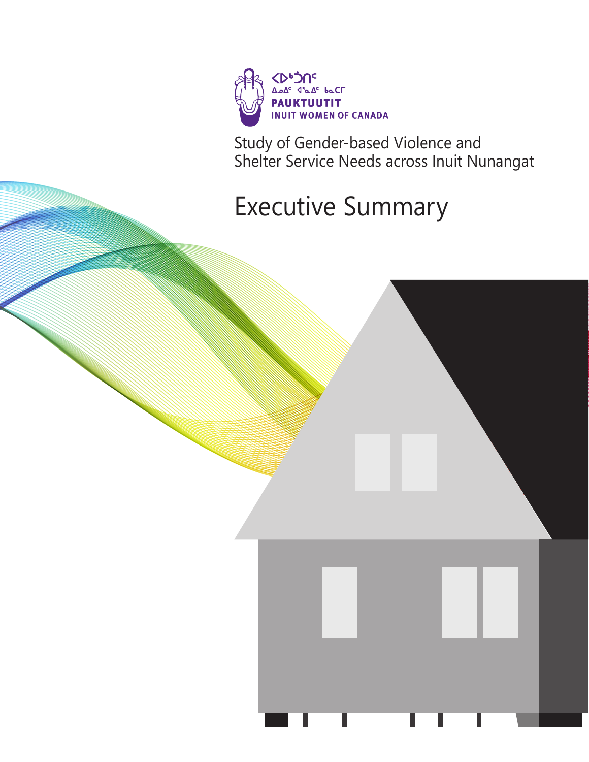

Study of Gender-based Violence and Shelter Service Needs across Inuit Nunangat

# Executive Summary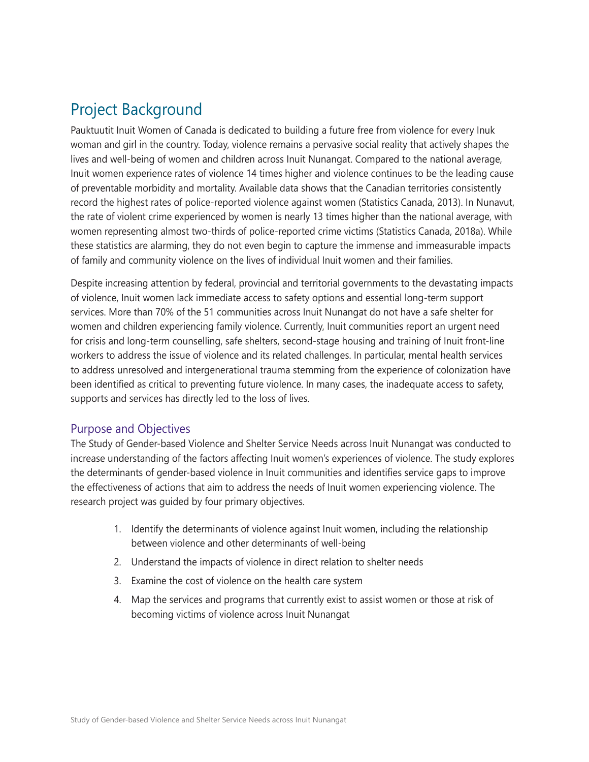# Project Background

Pauktuutit Inuit Women of Canada is dedicated to building a future free from violence for every Inuk woman and girl in the country. Today, violence remains a pervasive social reality that actively shapes the lives and well-being of women and children across Inuit Nunangat. Compared to the national average, Inuit women experience rates of violence 14 times higher and violence continues to be the leading cause of preventable morbidity and mortality. Available data shows that the Canadian territories consistently record the highest rates of police-reported violence against women (Statistics Canada, 2013). In Nunavut, the rate of violent crime experienced by women is nearly 13 times higher than the national average, with women representing almost two-thirds of police-reported crime victims (Statistics Canada, 2018a). While these statistics are alarming, they do not even begin to capture the immense and immeasurable impacts of family and community violence on the lives of individual Inuit women and their families.

Despite increasing attention by federal, provincial and territorial governments to the devastating impacts of violence, Inuit women lack immediate access to safety options and essential long-term support services. More than 70% of the 51 communities across Inuit Nunangat do not have a safe shelter for women and children experiencing family violence. Currently, Inuit communities report an urgent need for crisis and long-term counselling, safe shelters, second-stage housing and training of Inuit front-line workers to address the issue of violence and its related challenges. In particular, mental health services to address unresolved and intergenerational trauma stemming from the experience of colonization have been identified as critical to preventing future violence. In many cases, the inadequate access to safety, supports and services has directly led to the loss of lives.

#### Purpose and Objectives

The Study of Gender-based Violence and Shelter Service Needs across Inuit Nunangat was conducted to increase understanding of the factors affecting Inuit women's experiences of violence. The study explores the determinants of gender-based violence in Inuit communities and identifies service gaps to improve the effectiveness of actions that aim to address the needs of Inuit women experiencing violence. The research project was guided by four primary objectives.

- 1. Identify the determinants of violence against Inuit women, including the relationship between violence and other determinants of well-being
- 2. Understand the impacts of violence in direct relation to shelter needs
- 3. Examine the cost of violence on the health care system
- 4. Map the services and programs that currently exist to assist women or those at risk of becoming victims of violence across Inuit Nunangat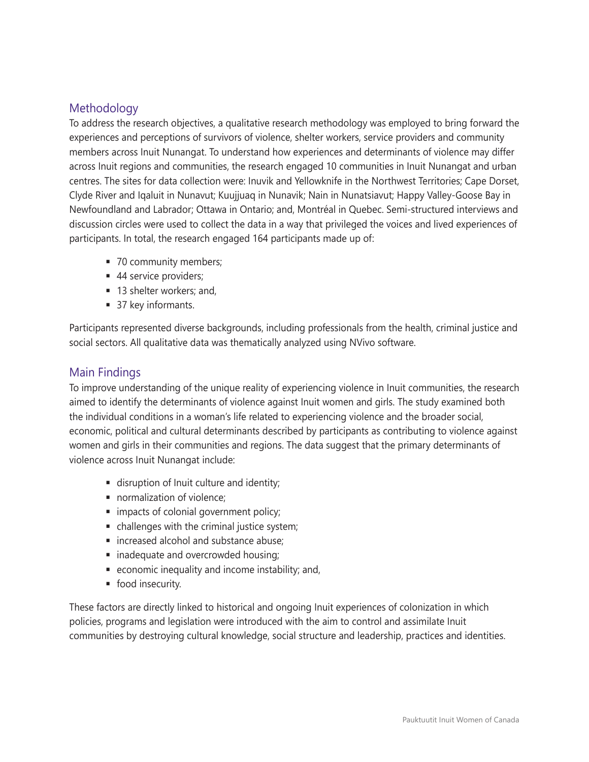## Methodology

To address the research objectives, a qualitative research methodology was employed to bring forward the experiences and perceptions of survivors of violence, shelter workers, service providers and community members across Inuit Nunangat. To understand how experiences and determinants of violence may differ across Inuit regions and communities, the research engaged 10 communities in Inuit Nunangat and urban centres. The sites for data collection were: Inuvik and Yellowknife in the Northwest Territories; Cape Dorset, Clyde River and Iqaluit in Nunavut; Kuujjuaq in Nunavik; Nain in Nunatsiavut; Happy Valley-Goose Bay in Newfoundland and Labrador; Ottawa in Ontario; and, Montréal in Quebec. Semi-structured interviews and discussion circles were used to collect the data in a way that privileged the voices and lived experiences of participants. In total, the research engaged 164 participants made up of:

- 70 community members;
- 44 service providers;
- 13 shelter workers; and,
- 37 key informants.

Participants represented diverse backgrounds, including professionals from the health, criminal justice and social sectors. All qualitative data was thematically analyzed using NVivo software.

### Main Findings

To improve understanding of the unique reality of experiencing violence in Inuit communities, the research aimed to identify the determinants of violence against Inuit women and girls. The study examined both the individual conditions in a woman's life related to experiencing violence and the broader social, economic, political and cultural determinants described by participants as contributing to violence against women and girls in their communities and regions. The data suggest that the primary determinants of violence across Inuit Nunangat include:

- disruption of Inuit culture and identity;
- normalization of violence;
- impacts of colonial government policy;
- challenges with the criminal justice system;
- increased alcohol and substance abuse;
- inadequate and overcrowded housing;
- economic inequality and income instability; and,
- food insecurity.

These factors are directly linked to historical and ongoing Inuit experiences of colonization in which policies, programs and legislation were introduced with the aim to control and assimilate Inuit communities by destroying cultural knowledge, social structure and leadership, practices and identities.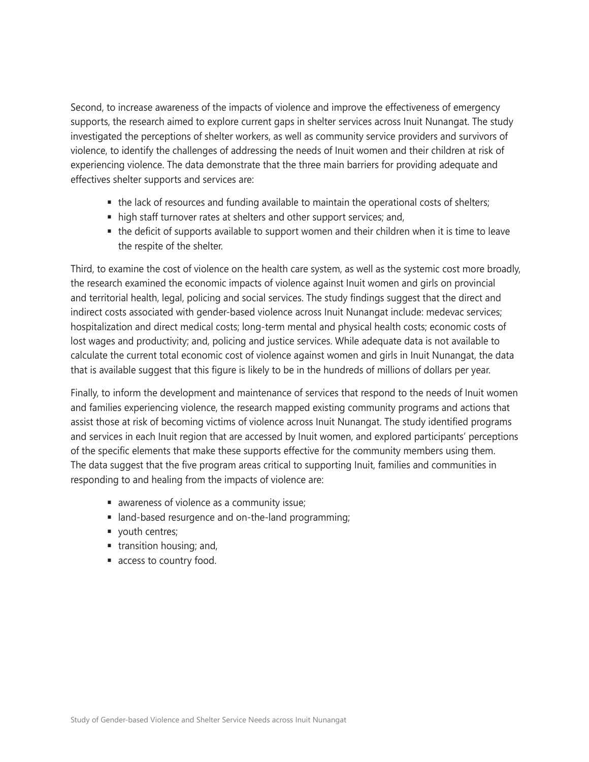Second, to increase awareness of the impacts of violence and improve the effectiveness of emergency supports, the research aimed to explore current gaps in shelter services across Inuit Nunangat. The study investigated the perceptions of shelter workers, as well as community service providers and survivors of violence, to identify the challenges of addressing the needs of Inuit women and their children at risk of experiencing violence. The data demonstrate that the three main barriers for providing adequate and effectives shelter supports and services are:

- the lack of resources and funding available to maintain the operational costs of shelters;
- high staff turnover rates at shelters and other support services; and,
- the deficit of supports available to support women and their children when it is time to leave the respite of the shelter.

Third, to examine the cost of violence on the health care system, as well as the systemic cost more broadly, the research examined the economic impacts of violence against Inuit women and girls on provincial and territorial health, legal, policing and social services. The study findings suggest that the direct and indirect costs associated with gender-based violence across Inuit Nunangat include: medevac services; hospitalization and direct medical costs; long-term mental and physical health costs; economic costs of lost wages and productivity; and, policing and justice services. While adequate data is not available to calculate the current total economic cost of violence against women and girls in Inuit Nunangat, the data that is available suggest that this figure is likely to be in the hundreds of millions of dollars per year.

Finally, to inform the development and maintenance of services that respond to the needs of Inuit women and families experiencing violence, the research mapped existing community programs and actions that assist those at risk of becoming victims of violence across Inuit Nunangat. The study identified programs and services in each Inuit region that are accessed by Inuit women, and explored participants' perceptions of the specific elements that make these supports effective for the community members using them. The data suggest that the five program areas critical to supporting Inuit, families and communities in responding to and healing from the impacts of violence are:

- awareness of violence as a community issue;
- land-based resurgence and on-the-land programming;
- vouth centres;
- $\blacksquare$  transition housing; and,
- access to country food.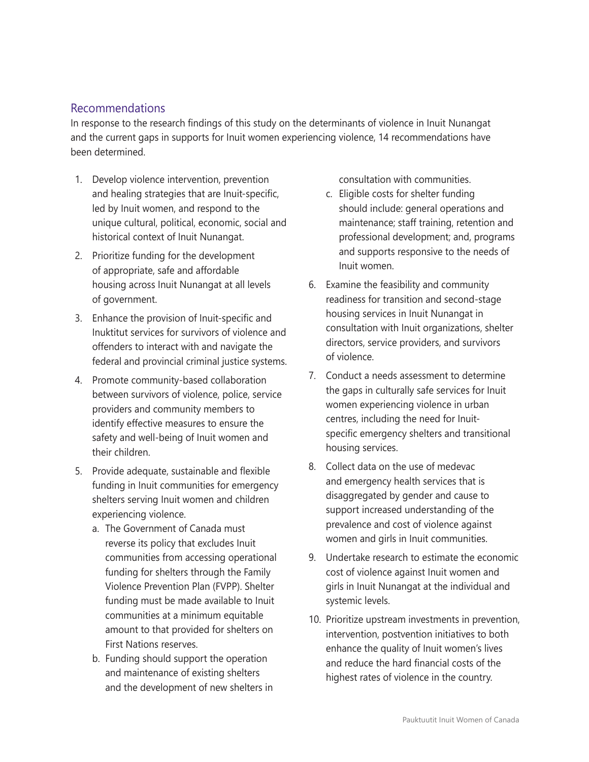#### Recommendations

In response to the research findings of this study on the determinants of violence in Inuit Nunangat and the current gaps in supports for Inuit women experiencing violence, 14 recommendations have been determined.

- 1. Develop violence intervention, prevention and healing strategies that are Inuit-specific, led by Inuit women, and respond to the unique cultural, political, economic, social and historical context of Inuit Nunangat.
- 2. Prioritize funding for the development of appropriate, safe and affordable housing across Inuit Nunangat at all levels of government.
- 3. Enhance the provision of Inuit-specific and Inuktitut services for survivors of violence and offenders to interact with and navigate the federal and provincial criminal justice systems.
- 4. Promote community-based collaboration between survivors of violence, police, service providers and community members to identify effective measures to ensure the safety and well-being of Inuit women and their children.
- 5. Provide adequate, sustainable and flexible funding in Inuit communities for emergency shelters serving Inuit women and children experiencing violence.
	- a. The Government of Canada must reverse its policy that excludes Inuit communities from accessing operational funding for shelters through the Family Violence Prevention Plan (FVPP). Shelter funding must be made available to Inuit communities at a minimum equitable amount to that provided for shelters on First Nations reserves.
	- b. Funding should support the operation and maintenance of existing shelters and the development of new shelters in

consultation with communities.

- c. Eligible costs for shelter funding should include: general operations and maintenance; staff training, retention and professional development; and, programs and supports responsive to the needs of Inuit women.
- 6. Examine the feasibility and community readiness for transition and second-stage housing services in Inuit Nunangat in consultation with Inuit organizations, shelter directors, service providers, and survivors of violence.
- 7. Conduct a needs assessment to determine the gaps in culturally safe services for Inuit women experiencing violence in urban centres, including the need for Inuitspecific emergency shelters and transitional housing services.
- 8. Collect data on the use of medevac and emergency health services that is disaggregated by gender and cause to support increased understanding of the prevalence and cost of violence against women and girls in Inuit communities.
- 9. Undertake research to estimate the economic cost of violence against Inuit women and girls in Inuit Nunangat at the individual and systemic levels.
- 10. Prioritize upstream investments in prevention, intervention, postvention initiatives to both enhance the quality of Inuit women's lives and reduce the hard financial costs of the highest rates of violence in the country.